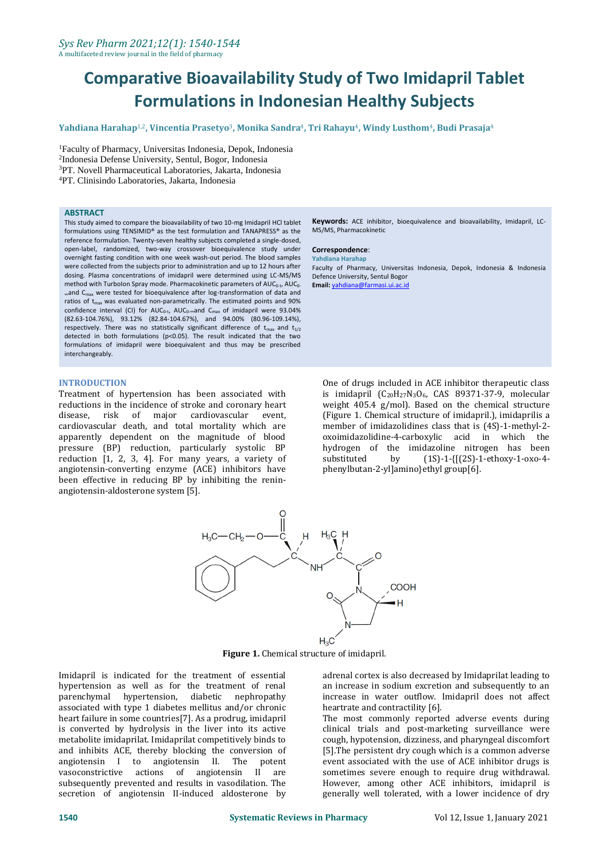# **Comparative Bioavailability Study of Two Imidapril Tablet Formulations in Indonesian Healthy Subjects**

**Yahdiana Harahap**1,2**, Vincentia Prasetyo**3**, Monika Sandra**4**, Tri Rahayu**4**, Windy Lusthom**4**, Budi Prasaja**<sup>4</sup>

Faculty of Pharmacy, Universitas Indonesia, Depok, Indonesia Indonesia Defense University, Sentul, Bogor, Indonesia PT. Novell Pharmaceutical Laboratories, Jakarta, Indonesia PT. Clinisindo Laboratories, Jakarta, Indonesia

#### **ABSTRACT**

This study aimed to compare the bioavailability of two 10-mg Imidapril HCl tablet formulations using TENSIMID® as the test formulation and TANAPRESS® as the reference formulation. Twenty-seven healthy subjects completed a single-dosed, open-label, randomized, two-way crossover bioequivalence study under overnight fasting condition with one week wash-out period. The blood samples were collected from the subjects prior to administration and up to 12 hours after dosing. Plasma concentrations of imidapril were determined using LC-MS/MS method with TurboIon Spray mode. Pharmacokinetic parameters of  $AUC_{0-t}$ ,  $AUC_{0-}$ <sup>∞</sup>and Cmax were tested for bioequivalence after log-transformation of data and ratios of  $t_{max}$  was evaluated non-parametrically. The estimated points and 90% confidence interval (CI) for  $AUC_{0-t}$ ,  $AUC_{0-\infty}$  and  $C_{\max}$  of imidapril were 93.04% (82.63-104.76%), 93.12% (82.84-104.67%), and 94.00% (80.96-109.14%), respectively. There was no statistically significant difference of  $t_{max}$  and  $t_{1/2}$ detected in both formulations (p<0.05). The result indicated that the two formulations of imidapril were bioequivalent and thus may be prescribed interchangeably.

## **INTRODUCTION**

Treatment of hypertension has been associated with reductions in the incidence of stroke and coronary heart disease, risk of major cardiovascular event, cardiovascular death, and total mortality which are apparently dependent on the magnitude of blood pressure (BP) reduction, particularly systolic BP reduction [1, 2, 3, 4]. For many years, a variety of angiotensin-converting enzyme (ACE) inhibitors have been effective in reducing BP by inhibiting the reninangiotensin-aldosterone system [5].

**Keywords:** ACE inhibitor, bioequivalence and bioavailability, Imidapril, LC-MS/MS, Pharmacokinetic

#### **Correspondence**:

**Yahdiana Harahap**

Faculty of Pharmacy, Universitas Indonesia, Depok, Indonesia & Indonesia Defence University, Sentul Bogor **Email:** [yahdiana@farmasi.ui.ac.id](mailto:yahdiana@farmasi.ui.ac.id)

One of drugs included in ACE inhibitor therapeutic class is imidapril (C20H27N3O6, CAS 89371-37-9, molecular weight 405.4 g/mol). Based on the chemical structure (Figure 1. [Chemical structure of imidapril.\)](#page-0-0), imidaprilis a member of imidazolidines class that is (4S)-1-methyl-2 oxoimidazolidine-4-carboxylic acid in which the hydrogen of the imidazoline nitrogen has been substituted by (1S)-1-{[(2S)-1-ethoxy-1-oxo-4 phenylbutan-2-yl]amino}ethyl group[6].



**Figure 1.** Chemical structure of imidapril.

<span id="page-0-0"></span>Imidapril is indicated for the treatment of essential hypertension as well as for the treatment of renal parenchymal hypertension, diabetic nephropathy associated with type 1 diabetes mellitus and/or chronic heart failure in some countries[7]. As a prodrug, imidapril is converted by hydrolysis in the liver into its active metabolite imidaprilat. Imidaprilat competitively binds to and inhibits ACE, thereby blocking the conversion of angiotensin I to angiotensin II. The potent vasoconstrictive actions of angiotensin II are subsequently prevented and results in vasodilation. The secretion of angiotensin II-induced aldosterone by

adrenal cortex is also decreased by Imidaprilat leading to an increase in sodium excretion and subsequently to an increase in water outflow. Imidapril does not affect heartrate and contractility [6].

The most commonly reported adverse events during clinical trials and post-marketing surveillance were cough, hypotension, dizziness, and pharyngeal discomfort [5].The persistent dry cough which is a common adverse event associated with the use of ACE inhibitor drugs is sometimes severe enough to require drug withdrawal. However, among other ACE inhibitors, imidapril is generally well tolerated, with a lower incidence of dry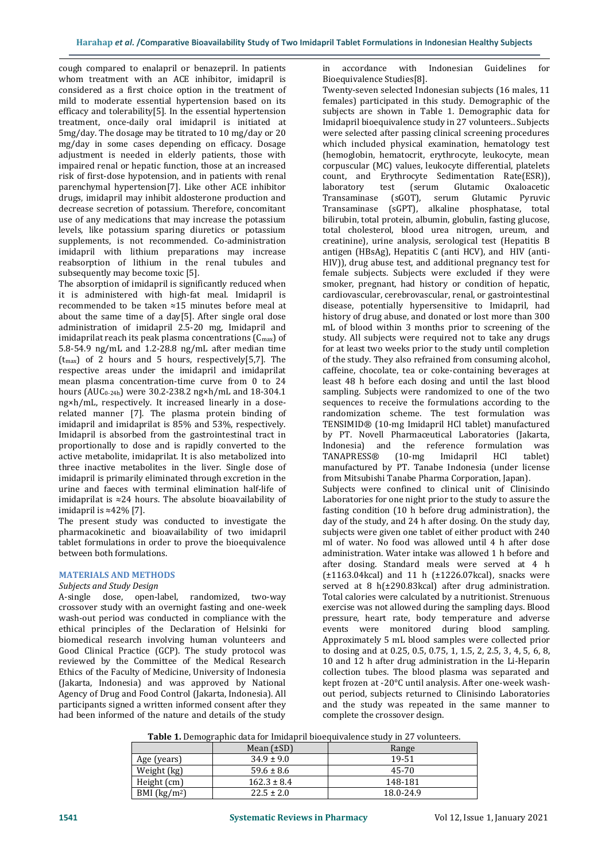cough compared to enalapril or benazepril. In patients whom treatment with an ACE inhibitor, imidapril is considered as a first choice option in the treatment of mild to moderate essential hypertension based on its efficacy and tolerability[5]. In the essential hypertension treatment, once-daily oral imidapril is initiated at 5mg/day. The dosage may be titrated to 10 mg/day or 20 mg/day in some cases depending on efficacy. Dosage adjustment is needed in elderly patients, those with impaired renal or hepatic function, those at an increased risk of first-dose hypotension, and in patients with renal parenchymal hypertension[7]. Like other ACE inhibitor drugs, imidapril may inhibit aldosterone production and decrease secretion of potassium. Therefore, concomitant use of any medications that may increase the potassium levels, like potassium sparing diuretics or potassium supplements, is not recommended. Co-administration imidapril with lithium preparations may increase reabsorption of lithium in the renal tubules and subsequently may become toxic [5].

The absorption of imidapril is significantly reduced when it is administered with high-fat meal. Imidapril is recommended to be taken ≈15 minutes before meal at about the same time of a day[5]. After single oral dose administration of imidapril 2.5-20 mg, Imidapril and imidaprilat reach its peak plasma concentrations  $(C_{\text{max}})$  of 5.8-54.9 ng/mL and 1.2-28.8 ng/mL after median time  $(t_{\text{max}})$  of 2 hours and 5 hours, respectively[5,7]. The respective areas under the imidapril and imidaprilat mean plasma concentration-time curve from 0 to 24 hours (AUC<sub>0-24h</sub>) were 30.2-238.2 ng×h/mL and 18-304.1 ng×h/mL, respectively. It increased linearly in a doserelated manner [7]. The plasma protein binding of imidapril and imidaprilat is 85% and 53%, respectively. Imidapril is absorbed from the gastrointestinal tract in proportionally to dose and is rapidly converted to the active metabolite, imidaprilat. It is also metabolized into three inactive metabolites in the liver. Single dose of imidapril is primarily eliminated through excretion in the urine and faeces with terminal elimination half-life of imidaprilat is ≈24 hours. The absolute bioavailability of imidapril is ≈42% [7].

The present study was conducted to investigate the pharmacokinetic and bioavailability of two imidapril tablet formulations in order to prove the bioequivalence between both formulations.

# **MATERIALS AND METHODS**

## *Subjects and Study Design*

A-single dose, open-label, randomized, two-way crossover study with an overnight fasting and one-week wash-out period was conducted in compliance with the ethical principles of the Declaration of Helsinki for biomedical research involving human volunteers and Good Clinical Practice (GCP). The study protocol was reviewed by the Committee of the Medical Research Ethics of the Faculty of Medicine, University of Indonesia (Jakarta, Indonesia) and was approved by National Agency of Drug and Food Control (Jakarta, Indonesia). All participants signed a written informed consent after they had been informed of the nature and details of the study

in accordance with Indonesian Guidelines for Bioequivalence Studies[8].

Twenty-seven selected Indonesian subjects (16 males, 11 females) participated in this study. Demographic of the subjects are shown in Table 1. [Demographic data for](#page-1-0)  [Imidapril bioequivalence study in 27 volunteers..](#page-1-0) Subjects were selected after passing clinical screening procedures which included physical examination, hematology test (hemoglobin, hematocrit, erythrocyte, leukocyte, mean corpuscular (MC) values, leukocyte differential, platelets count, and Erythrocyte Sedimentation Rate(ESR)), laboratory test (serum Glutamic Oxaloacetic Transaminase (sGOT), serum Glutamic Pyruvic Transaminase (sGPT), alkaline phosphatase, total bilirubin, total protein, albumin, globulin, fasting glucose, total cholesterol, blood urea nitrogen, ureum, and creatinine), urine analysis, serological test (Hepatitis B antigen (HBsAg), Hepatitis C (anti HCV), and HIV (anti-HIV)), drug abuse test, and additional pregnancy test for female subjects. Subjects were excluded if they were smoker, pregnant, had history or condition of hepatic, cardiovascular, cerebrovascular, renal, or gastrointestinal disease, potentially hypersensitive to Imidapril, had history of drug abuse, and donated or lost more than 300 mL of blood within 3 months prior to screening of the study. All subjects were required not to take any drugs for at least two weeks prior to the study until completion of the study. They also refrained from consuming alcohol, caffeine, chocolate, tea or coke-containing beverages at least 48 h before each dosing and until the last blood sampling. Subjects were randomized to one of the two sequences to receive the formulations according to the randomization scheme. The test formulation was TENSIMID® (10-mg Imidapril HCl tablet) manufactured by PT. Novell Pharmaceutical Laboratories (Jakarta, Indonesia) and the reference formulation was TANAPRESS® (10-mg Imidapril HCl tablet) manufactured by PT. Tanabe Indonesia (under license from Mitsubishi Tanabe Pharma Corporation, Japan). Subjects were confined to clinical unit of Clinisindo Laboratories for one night prior to the study to assure the fasting condition (10 h before drug administration), the day of the study, and 24 h after dosing. On the study day, subjects were given one tablet of either product with 240 ml of water. No food was allowed until 4 h after dose administration. Water intake was allowed 1 h before and after dosing. Standard meals were served at 4 h  $(\pm 1163.04 \text{kcal})$  and 11 h  $(\pm 1226.07 \text{kcal})$ , snacks were served at 8 h(±290.83kcal) after drug administration. Total calories were calculated by a nutritionist. Strenuous exercise was not allowed during the sampling days. Blood pressure, heart rate, body temperature and adverse events were monitored during blood sampling. Approximately 5 mL blood samples were collected prior to dosing and at 0.25, 0.5, 0.75, 1, 1.5, 2, 2.5, 3, 4, 5, 6, 8, 10 and 12 h after drug administration in the Li-Heparin collection tubes. The blood plasma was separated and kept frozen at -20°C until analysis. After one-week washout period, subjects returned to Clinisindo Laboratories and the study was repeated in the same manner to complete the crossover design.

**Table 1.** Demographic data for Imidapril bioequivalence study in 27 volunteers.

<span id="page-1-0"></span>

| .             |                 |           |
|---------------|-----------------|-----------|
|               | Mean $(\pm SD)$ | Range     |
| Age (years)   | $34.9 \pm 9.0$  | 19-51     |
| Weight (kg)   | $59.6 \pm 8.6$  | 45-70     |
| Height (cm)   | $162.3 \pm 8.4$ | 148-181   |
| BMI $(kg/m2)$ | $22.5 \pm 2.0$  | 18.0-24.9 |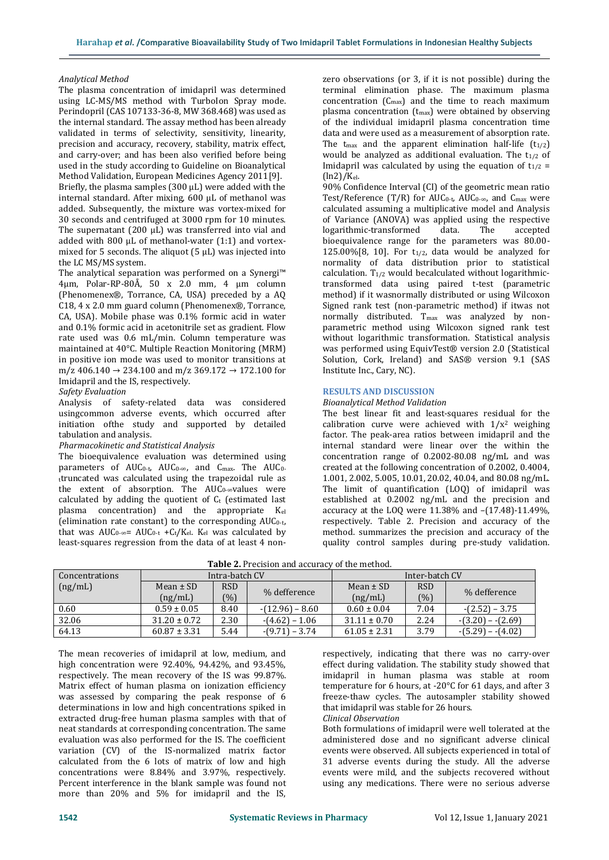#### *Analytical Method*

The plasma concentration of imidapril was determined using LC-MS/MS method with TurboIon Spray mode. Perindopril (CAS 107133-36-8, MW 368.468) was used as the internal standard. The assay method has been already validated in terms of selectivity, sensitivity, linearity, precision and accuracy, recovery, stability, matrix effect, and carry-over; and has been also verified before being used in the study according to Guideline on Bioanalytical Method Validation, European Medicines Agency 2011[9]. Briefly, the plasma samples (300 µL) were added with the internal standard. After mixing, 600 μL of methanol was added. Subsequently, the mixture was vortex-mixed for 30 seconds and centrifuged at 3000 rpm for 10 minutes. The supernatant  $(200 \mu L)$  was transferred into vial and added with 800 μL of methanol-water (1:1) and vortexmixed for 5 seconds. The aliquot  $(5 \mu L)$  was injected into the LC MS/MS system.

The analytical separation was performed on a Synergi™ 4µm, Polar-RP-80Å, 50 x 2.0 mm, 4 µm column (Phenomenex®, Torrance, CA, USA) preceded by a AQ C18, 4 x 2.0 mm guard column (Phenomenex®, Torrance, CA, USA). Mobile phase was 0.1% formic acid in water and 0.1% formic acid in acetonitrile set as gradient. Flow rate used was 0.6 mL/min. Column temperature was maintained at 40°C. Multiple Reaction Monitoring (MRM) in positive ion mode was used to monitor transitions at m/z 406.140 → 234.100 and m/z 369.172 → 172.100 for Imidapril and the IS, respectively.

## *Safety Evaluation*

Analysis of safety-related data was considered usingcommon adverse events, which occurred after initiation ofthe study and supported by detailed tabulation and analysis.

## *Pharmacokinetic and Statistical Analysis*

The bioequivalence evaluation was determined using parameters of  $AUC_{0-t}$ ,  $AUC_{0-\infty}$ , and  $C_{\text{max}}$ . The  $AUC_{0-}$ <sup>t</sup>truncated was calculated using the trapezoidal rule as the extent of absorption. The  $AUC_0$ - $\infty$ values were calculated by adding the quotient of  $C_t$  (estimated last plasma concentration) and the appropriate Kel (elimination rate constant) to the corresponding  $AUC_{0-t}$ , that was  $AUC_0$ -∞=  $AUC_{0-t}$  +Ct/Kel. Kel was calculated by least-squares regression from the data of at least 4 nonzero observations (or 3, if it is not possible) during the terminal elimination phase. The maximum plasma concentration (Cmax) and the time to reach maximum plasma concentration  $(t_{\text{max}})$  were obtained by observing of the individual imidapril plasma concentration time data and were used as a measurement of absorption rate. The t<sub>max</sub> and the apparent elimination half-life  $(t_{1/2})$ would be analyzed as additional evaluation. The  $t_{1/2}$  of Imidapril was calculated by using the equation of  $t_{1/2}$  =  $(ln2)/K_{el}$ .

90% Confidence Interval (CI) of the geometric mean ratio Test/Reference  $(T/R)$  for AUC<sub>0-t</sub>, AUC<sub>0-∞</sub>, and C<sub>max</sub> were calculated assuming a multiplicative model and Analysis of Variance (ANOVA) was applied using the respective logarithmic-transformed data. The accepted bioequivalence range for the parameters was 80.00- 125.00%[8, 10]. For  $t_{1/2}$ , data would be analyzed for normality of data distribution prior to statistical calculation.  $T_{1/2}$  would becalculated without logarithmictransformed data using paired t-test (parametric method) if it wasnormally distributed or using Wilcoxon Signed rank test (non-parametric method) if itwas not normally distributed. T<sub>max</sub> was analyzed by nonparametric method using Wilcoxon signed rank test without logarithmic transformation. Statistical analysis was performed using EquivTest® version 2.0 (Statistical Solution, Cork, Ireland) and SAS® version 9.1 (SAS Institute Inc., Cary, NC).

#### **RESULTS AND DISCUSSION**

#### *Bioanalytical Method Validation*

The best linear fit and least-squares residual for the calibration curve were achieved with  $1/x^2$  weighing factor. The peak-area ratios between imidapril and the internal standard were linear over the within the concentration range of 0.2002-80.08 ng/mL and was created at the following concentration of 0.2002, 0.4004, 1.001, 2.002, 5.005, 10.01, 20.02, 40.04, and 80.08 ng/mL. The limit of quantification (LOQ) of imidapril was established at 0.2002 ng/mL and the precision and accuracy at the LOQ were 11.38% and –(17.48)-11.49%, respectively. Table 2. [Precision and accuracy of the](#page-2-0)  [method.](#page-2-0) summarizes the precision and accuracy of the quality control samples during pre-study validation.

<span id="page-2-0"></span>

| <b>Table 2.</b> I recision and accuracy of the inethou. |                  |            |                   |                  |            |                    |
|---------------------------------------------------------|------------------|------------|-------------------|------------------|------------|--------------------|
| Concentrations                                          | Intra-batch CV   |            |                   | Inter-batch CV   |            |                    |
| (ng/mL)                                                 | Mean $\pm$ SD    | <b>RSD</b> | % defference      | Mean $\pm$ SD    | <b>RSD</b> | % defference       |
|                                                         | (ng/mL)          | (%)        |                   | (ng/mL)          | (%)        |                    |
| 0.60                                                    | $0.59 \pm 0.05$  | 8.40       | $-(12.96) - 8.60$ | $0.60 \pm 0.04$  | 7.04       | $-(2.52) - 3.75$   |
| 32.06                                                   | $31.20 \pm 0.72$ | 2.30       | $-(4.62) - 1.06$  | $31.11 \pm 0.70$ | 2.24       | $-(3.20) - (2.69)$ |
| 64.13                                                   | $60.87 \pm 3.31$ | 5.44       | $-(9.71) - 3.74$  | $61.05 \pm 2.31$ | 3.79       | $-(5.29) - (4.02)$ |

**Table 2.** Precision and accuracy of the method.

The mean recoveries of imidapril at low, medium, and high concentration were 92.40%, 94.42%, and 93.45%, respectively. The mean recovery of the IS was 99.87%. Matrix effect of human plasma on ionization efficiency was assessed by comparing the peak response of 6 determinations in low and high concentrations spiked in extracted drug-free human plasma samples with that of neat standards at corresponding concentration. The same evaluation was also performed for the IS. The coefficient variation (CV) of the IS-normalized matrix factor calculated from the 6 lots of matrix of low and high concentrations were 8.84% and 3.97%, respectively. Percent interference in the blank sample was found not more than 20% and 5% for imidapril and the IS,

respectively, indicating that there was no carry-over effect during validation. The stability study showed that imidapril in human plasma was stable at room temperature for 6 hours, at -20°C for 61 days, and after 3 freeze-thaw cycles. The autosampler stability showed that imidapril was stable for 26 hours.

# *Clinical Observation*

Both formulations of imidapril were well tolerated at the administered dose and no significant adverse clinical events were observed. All subjects experienced in total of 31 adverse events during the study. All the adverse events were mild, and the subjects recovered without using any medications. There were no serious adverse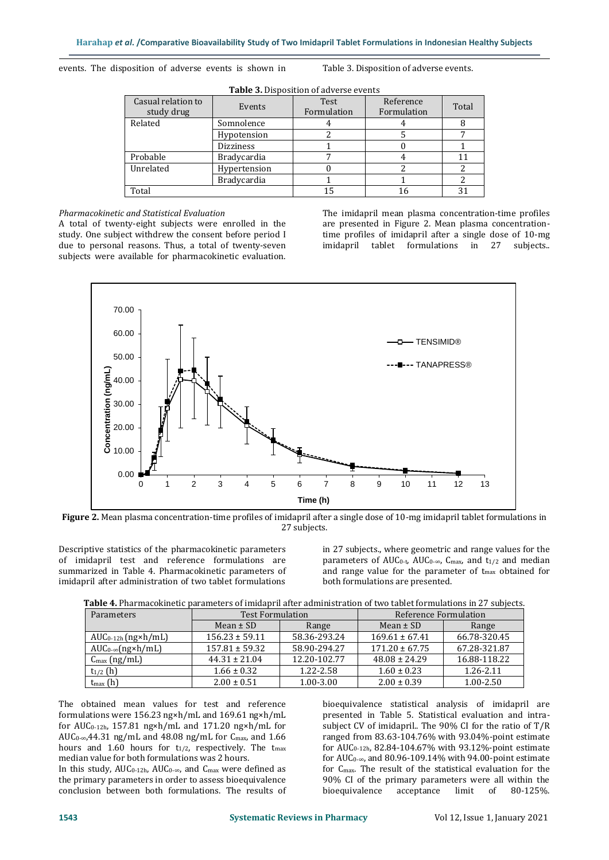<span id="page-3-0"></span>events. The disposition of adverse events is shown in Table 3. [Disposition of adverse events.](#page-3-0)

| Casual relation to<br>study drug | Events             | Test<br>Formulation | Reference<br>Formulation | Total |
|----------------------------------|--------------------|---------------------|--------------------------|-------|
| Related                          | Somnolence         |                     |                          |       |
|                                  | Hypotension        |                     |                          |       |
|                                  | <b>Dizziness</b>   |                     |                          |       |
| Probable                         | <b>Bradycardia</b> |                     |                          |       |
| Unrelated                        | Hypertension       |                     |                          |       |
|                                  | <b>Bradycardia</b> |                     |                          |       |
| Total                            |                    | 15                  | 16                       |       |
|                                  |                    |                     |                          |       |

**Table 3.** Disposition of adverse events

# *Pharmacokinetic and Statistical Evaluation*

A total of twenty-eight subjects were enrolled in the study. One subject withdrew the consent before period I due to personal reasons. Thus, a total of twenty-seven subjects were available for pharmacokinetic evaluation. The imidapril mean plasma concentration-time profiles are presented in Figure 2. [Mean plasma concentration](#page-3-1)[time profiles of imidapril after a single dose of 10-mg](#page-3-1)  imidapril [tablet formulations in 27 subjects..](#page-3-1)



<span id="page-3-1"></span>**Figure 2.** Mean plasma concentration-time profiles of imidapril after a single dose of 10-mg imidapril tablet formulations in 27 subjects.

Descriptive statistics of the pharmacokinetic parameters of imidapril test and reference formulations are summarized in Table 4. [Pharmacokinetic parameters of](#page-3-2)  [imidapril after administration of two tablet formulations](#page-3-2) 

[in 27 subjects.,](#page-3-2) where geometric and range values for the parameters of AUC<sub>0-t</sub>, AUC<sub>0-∞</sub>, C<sub>max</sub>, and t<sub>1/2</sub> and median and range value for the parameter of t<sub>max</sub> obtained for both formulations are presented.

<span id="page-3-2"></span>**Table 4.** Pharmacokinetic parameters of imidapril after administration of two tablet formulations in 27 subjects.

| Parameters                        | <b>Test Formulation</b> |              | Reference Formulation |              |  |
|-----------------------------------|-------------------------|--------------|-----------------------|--------------|--|
|                                   | Mean $\pm$ SD           | Range        | Mean $\pm$ SD         | Range        |  |
| $AUC_{0-12h}$ (ng $\times h$ /mL) | $156.23 \pm 59.11$      | 58.36-293.24 | $169.61 \pm 67.41$    | 66.78-320.45 |  |
| $AUC_{0-\infty}(ng\times h/mL)$   | $157.81 \pm 59.32$      | 58.90-294.27 | $171.20 \pm 67.75$    | 67.28-321.87 |  |
| $C_{\text{max}}$ (ng/mL)          | $44.31 \pm 21.04$       | 12.20-102.77 | $48.08 \pm 24.29$     | 16.88-118.22 |  |
| $t_{1/2}$ (h)                     | $1.66 \pm 0.32$         | 1.22-2.58    | $1.60 \pm 0.23$       | 1.26-2.11    |  |
| $t_{\text{max}}(h)$               | $2.00 \pm 0.51$         | 1.00-3.00    | $2.00 \pm 0.39$       | 1.00-2.50    |  |

The obtained mean values for test and reference formulations were 156.23 ng×h/mL and 169.61 ng×h/mL for AUC0-12h, 157.81 ng×h/mL and 171.20 ng×h/mL for AUC0-∞,44.31 ng/mL and 48.08 ng/mL for Cmax, and 1.66 hours and 1.60 hours for  $t_{1/2}$ , respectively. The  $t_{\text{max}}$ median value for both formulations was 2 hours.

In this study,  $AUC_{0-12h}$ ,  $AUC_{0-\infty}$ , and  $C_{\text{max}}$  were defined as the primary parameters in order to assess bioequivalence conclusion between both formulations. The results of bioequivalence statistical analysis of imidapril are presented in Table 5. [Statistical evaluation and intra](#page-4-0)[subject CV of imidapril..](#page-4-0) The 90% CI for the ratio of T/R ranged from 83.63-104.76% with 93.04%-point estimate for AUC0-12h, 82.84-104.67% with 93.12%-point estimate for  $AUC_0$ -∞, and 80.96-109.14% with 94.00-point estimate for Cmax. The result of the statistical evaluation for the 90% CI of the primary parameters were all within the bioequivalence acceptance limit of 80-125%.